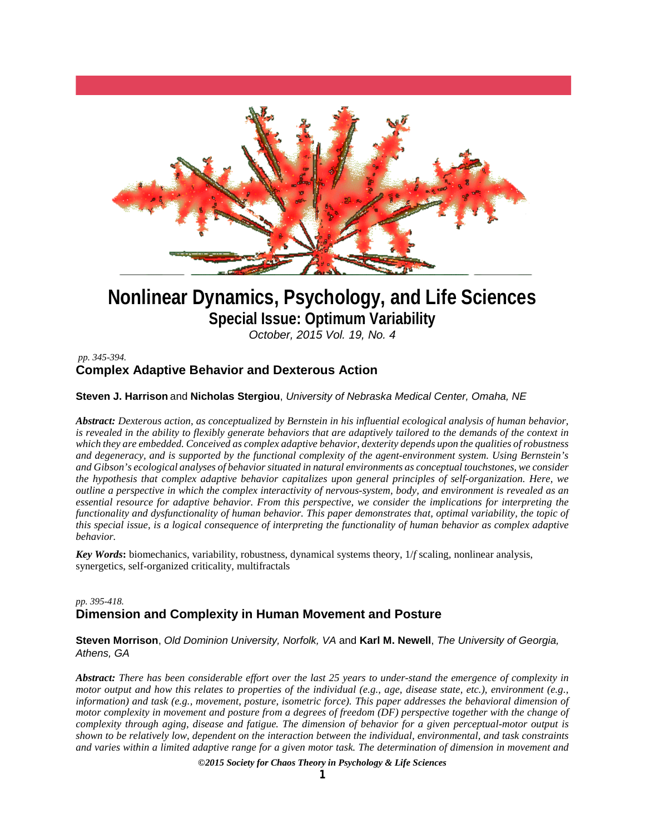

# **Nonlinear Dynamics, Psychology, and Life Sciences Special Issue: Optimum Variability**

*October, 2015 Vol. 19, No. 4*

# *pp. 345-394.* **Complex Adaptive Behavior and Dexterous Action**

# **Steven J. Harrison** and **Nicholas Stergiou**, *University of Nebraska Medical Center, Omaha, NE*

*Abstract: Dexterous action, as conceptualized by Bernstein in his influential ecological analysis of human behavior, is revealed in the ability to flexibly generate behaviors that are adaptively tailored to the demands of the context in which they are embedded. Conceived as complex adaptive behavior, dexterity depends upon the qualities of robustness and degeneracy, and is supported by the functional complexity of the agent-environment system. Using Bernstein's and Gibson's ecological analyses of behavior situated in natural environments as conceptual touchstones, we consider the hypothesis that complex adaptive behavior capitalizes upon general principles of self-organization. Here, we outline a perspective in which the complex interactivity of nervous-system, body, and environment is revealed as an essential resource for adaptive behavior. From this perspective, we consider the implications for interpreting the functionality and dysfunctionality of human behavior. This paper demonstrates that, optimal variability, the topic of this special issue, is a logical consequence of interpreting the functionality of human behavior as complex adaptive behavior.* 

*Key Words***:** biomechanics, variability, robustness, dynamical systems theory, 1/*f* scaling, nonlinear analysis, synergetics, self-organized criticality, multifractals

# *pp. 395-418.* **Dimension and Complexity in Human Movement and Posture**

**Steven Morrison**, *Old Dominion University, Norfolk, VA* and **Karl M. Newell**, *The University of Georgia, Athens, GA*

*Abstract: There has been considerable effort over the last 25 years to under-stand the emergence of complexity in motor output and how this relates to properties of the individual (e.g., age, disease state, etc.), environment (e.g., information) and task (e.g., movement, posture, isometric force). This paper addresses the behavioral dimension of motor complexity in movement and posture from a degrees of freedom (DF) perspective together with the change of complexity through aging, disease and fatigue. The dimension of behavior for a given perceptual-motor output is shown to be relatively low, dependent on the interaction between the individual, environmental, and task constraints and varies within a limited adaptive range for a given motor task. The determination of dimension in movement and* 

*©2015 Society for Chaos Theory in Psychology & Life Sciences*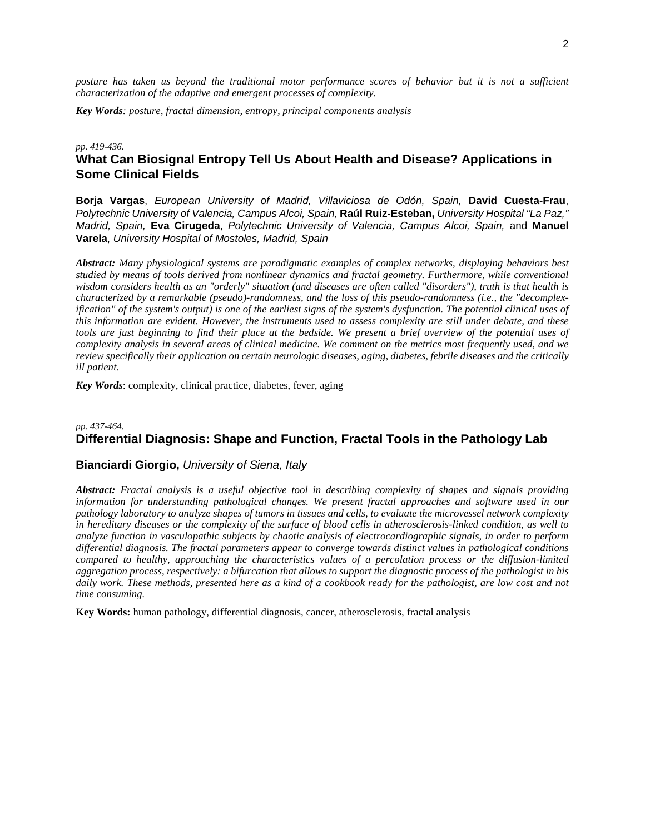*posture has taken us beyond the traditional motor performance scores of behavior but it is not a sufficient characterization of the adaptive and emergent processes of complexity.*

*Key Words: posture, fractal dimension, entropy, principal components analysis*

#### *pp. 419-436.* **What Can Biosignal Entropy Tell Us About Health and Disease? Applications in Some Clinical Fields**

**Borja Vargas**, *European University of Madrid, Villaviciosa de Odón, Spain,* **David Cuesta-Frau**, *Polytechnic University of Valencia, Campus Alcoi, Spain,* **Raúl Ruiz-Esteban,** *University Hospital "La Paz," Madrid, Spain,* **Eva Cirugeda**, *Polytechnic University of Valencia, Campus Alcoi, Spain,* and **Manuel Varela**, *University Hospital of Mostoles, Madrid, Spain*

*Abstract: Many physiological systems are paradigmatic examples of complex networks, displaying behaviors best studied by means of tools derived from nonlinear dynamics and fractal geometry. Furthermore, while conventional wisdom considers health as an "orderly" situation (and diseases are often called "disorders"), truth is that health is characterized by a remarkable (pseudo)-randomness, and the loss of this pseudo-randomness (i.e., the "decomplexification" of the system's output) is one of the earliest signs of the system's dysfunction. The potential clinical uses of this information are evident. However, the instruments used to assess complexity are still under debate, and these*  tools are just beginning to find their place at the bedside. We present a brief overview of the potential uses of *complexity analysis in several areas of clinical medicine. We comment on the metrics most frequently used, and we review specifically their application on certain neurologic diseases, aging, diabetes, febrile diseases and the critically ill patient.*

*Key Words*: complexity, clinical practice, diabetes, fever, aging

# *pp. 437-464.* **Differential Diagnosis: Shape and Function, Fractal Tools in the Pathology Lab**

#### **Bianciardi Giorgio,** *University of Siena, Italy*

*Abstract: Fractal analysis is a useful objective tool in describing complexity of shapes and signals providing information for understanding pathological changes. We present fractal approaches and software used in our pathology laboratory to analyze shapes of tumors in tissues and cells, to evaluate the microvessel network complexity in hereditary diseases or the complexity of the surface of blood cells in atherosclerosis-linked condition, as well to analyze function in vasculopathic subjects by chaotic analysis of electrocardiographic signals, in order to perform differential diagnosis. The fractal parameters appear to converge towards distinct values in pathological conditions compared to healthy, approaching the characteristics values of a percolation process or the diffusion-limited aggregation process, respectively: a bifurcation that allows to support the diagnostic process of the pathologist in his daily work. These methods, presented here as a kind of a cookbook ready for the pathologist, are low cost and not time consuming.*

**Key Words:** human pathology, differential diagnosis, cancer, atherosclerosis, fractal analysis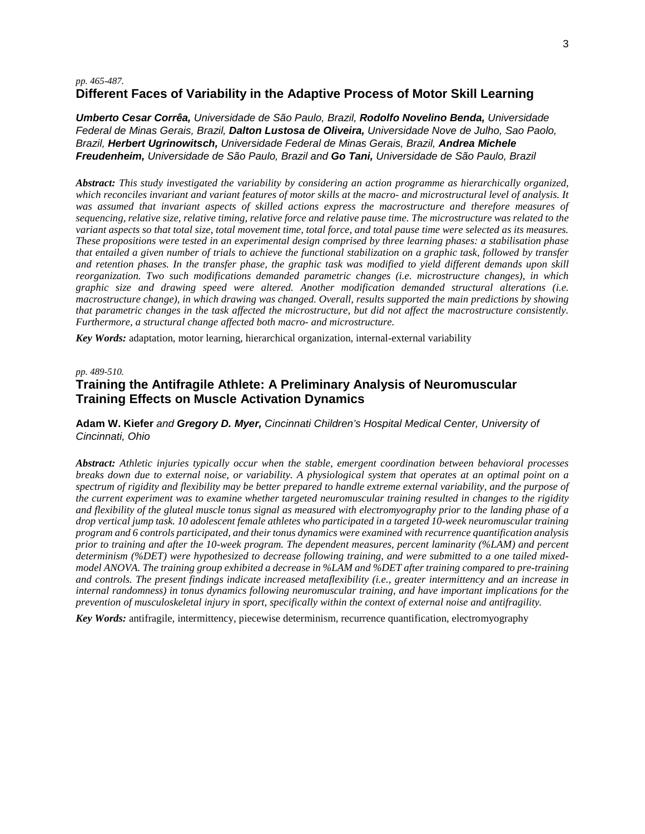#### *pp. 465-487.* **Different Faces of Variability in the Adaptive Process of Motor Skill Learning**

*Umberto Cesar Corrêa, Universidade de São Paulo, Brazil, Rodolfo Novelino Benda, Universidade Federal de Minas Gerais, Brazil, Dalton Lustosa de Oliveira, Universidade Nove de Julho, Sao Paolo, Brazil, Herbert Ugrinowitsch, Universidade Federal de Minas Gerais, Brazil, Andrea Michele Freudenheim, Universidade de São Paulo, Brazil and Go Tani, Universidade de São Paulo, Brazil*

*Abstract: This study investigated the variability by considering an action programme as hierarchically organized, which reconciles invariant and variant features of motor skills at the macro- and microstructural level of analysis. It was assumed that invariant aspects of skilled actions express the macrostructure and therefore measures of sequencing, relative size, relative timing, relative force and relative pause time. The microstructure was related to the variant aspects so that total size, total movement time, total force, and total pause time were selected as its measures. These propositions were tested in an experimental design comprised by three learning phases: a stabilisation phase that entailed a given number of trials to achieve the functional stabilization on a graphic task, followed by transfer and retention phases. In the transfer phase, the graphic task was modified to yield different demands upon skill reorganization. Two such modifications demanded parametric changes (i.e. microstructure changes), in which graphic size and drawing speed were altered. Another modification demanded structural alterations (i.e. macrostructure change), in which drawing was changed. Overall, results supported the main predictions by showing that parametric changes in the task affected the microstructure, but did not affect the macrostructure consistently. Furthermore, a structural change affected both macro- and microstructure.*

*Key Words:* adaptation, motor learning, hierarchical organization, internal-external variability

*pp. 489-510.*

# **Training the Antifragile Athlete: A Preliminary Analysis of Neuromuscular Training Effects on Muscle Activation Dynamics**

**Adam W. Kiefer** *and Gregory D. Myer, Cincinnati Children's Hospital Medical Center, University of Cincinnati, Ohio*

*Abstract: Athletic injuries typically occur when the stable, emergent coordination between behavioral processes breaks down due to external noise, or variability. A physiological system that operates at an optimal point on a spectrum of rigidity and flexibility may be better prepared to handle extreme external variability, and the purpose of the current experiment was to examine whether targeted neuromuscular training resulted in changes to the rigidity and flexibility of the gluteal muscle tonus signal as measured with electromyography prior to the landing phase of a drop vertical jump task. 10 adolescent female athletes who participated in a targeted 10-week neuromuscular training program and 6 controls participated, and their tonus dynamics were examined with recurrence quantification analysis prior to training and after the 10-week program. The dependent measures, percent laminarity (%LAM) and percent determinism (%DET) were hypothesized to decrease following training, and were submitted to a one tailed mixedmodel ANOVA. The training group exhibited a decrease in %LAM and %DET after training compared to pre-training and controls. The present findings indicate increased metaflexibility (i.e., greater intermittency and an increase in internal randomness) in tonus dynamics following neuromuscular training, and have important implications for the prevention of musculoskeletal injury in sport, specifically within the context of external noise and antifragility.*

*Key Words:* antifragile, intermittency, piecewise determinism, recurrence quantification, electromyography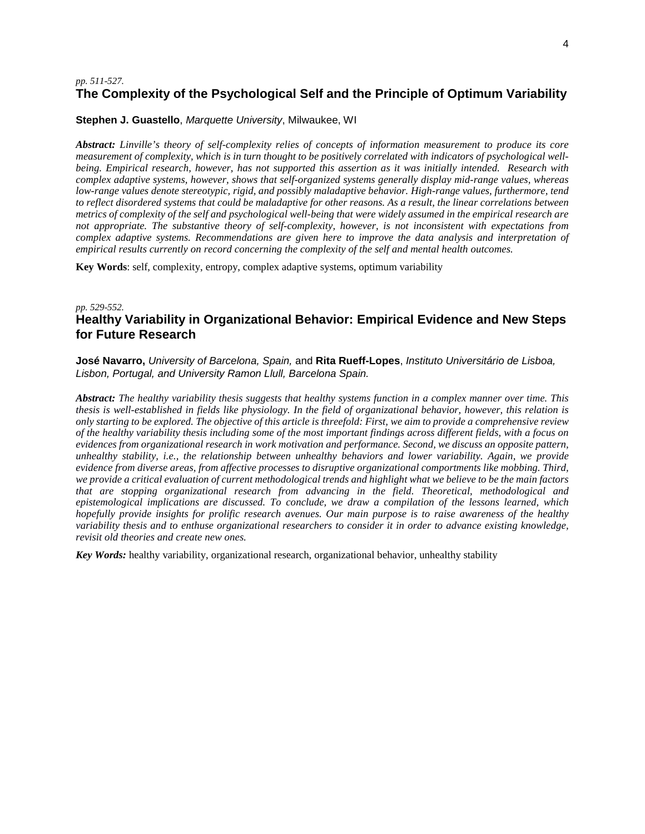# *pp. 511-527.* **The Complexity of the Psychological Self and the Principle of Optimum Variability**

#### **Stephen J. Guastello**, *Marquette University*, Milwaukee, WI

*Abstract: Linville's theory of self-complexity relies of concepts of information measurement to produce its core measurement of complexity, which is in turn thought to be positively correlated with indicators of psychological wellbeing. Empirical research, however, has not supported this assertion as it was initially intended. Research with complex adaptive systems, however, shows that self-organized systems generally display mid-range values, whereas low-range values denote stereotypic, rigid, and possibly maladaptive behavior. High-range values, furthermore, tend to reflect disordered systems that could be maladaptive for other reasons. As a result, the linear correlations between metrics of complexity of the self and psychological well-being that were widely assumed in the empirical research are not appropriate. The substantive theory of self-complexity, however, is not inconsistent with expectations from complex adaptive systems. Recommendations are given here to improve the data analysis and interpretation of empirical results currently on record concerning the complexity of the self and mental health outcomes.*

**Key Words**: self, complexity, entropy, complex adaptive systems, optimum variability

# *pp. 529-552.* **Healthy Variability in Organizational Behavior: Empirical Evidence and New Steps for Future Research**

**José Navarro,** *University of Barcelona, Spain,* and **Rita Rueff-Lopes**, *Instituto Universitário de Lisboa, Lisbon, Portugal, and University Ramon Llull, Barcelona Spain.* 

*Abstract: The healthy variability thesis suggests that healthy systems function in a complex manner over time. This thesis is well-established in fields like physiology. In the field of organizational behavior, however, this relation is only starting to be explored. The objective of this article is threefold: First, we aim to provide a comprehensive review of the healthy variability thesis including some of the most important findings across different fields, with a focus on evidences from organizational research in work motivation and performance. Second, we discuss an opposite pattern, unhealthy stability, i.e., the relationship between unhealthy behaviors and lower variability. Again, we provide evidence from diverse areas, from affective processes to disruptive organizational comportments like mobbing. Third, we provide a critical evaluation of current methodological trends and highlight what we believe to be the main factors that are stopping organizational research from advancing in the field. Theoretical, methodological and epistemological implications are discussed. To conclude, we draw a compilation of the lessons learned, which hopefully provide insights for prolific research avenues. Our main purpose is to raise awareness of the healthy variability thesis and to enthuse organizational researchers to consider it in order to advance existing knowledge, revisit old theories and create new ones.*

*Key Words:* healthy variability, organizational research, organizational behavior, unhealthy stability